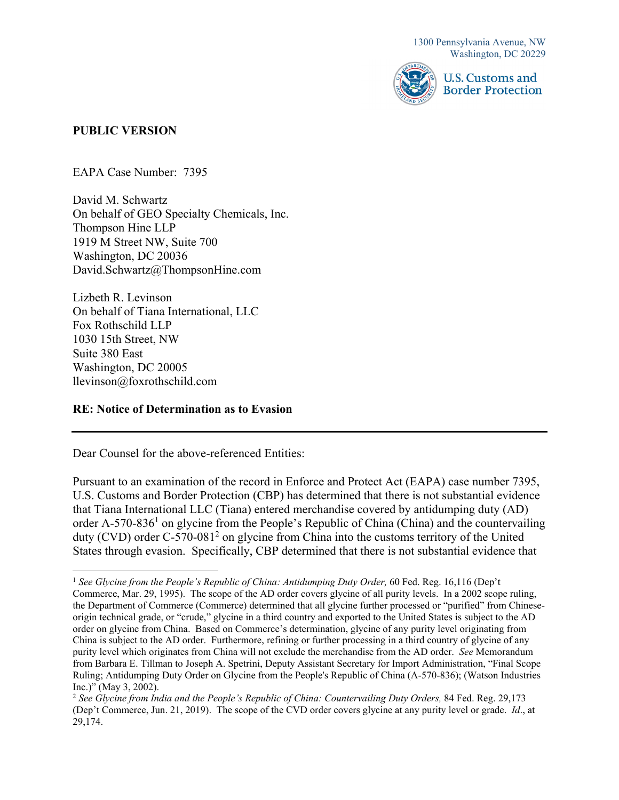

### **PUBLIC VERSION**

EAPA Case Number: 7395

David M. Schwartz On behalf of GEO Specialty Chemicals, Inc. Thompson Hine LLP 1919 M Street NW, Suite 700 Washington, DC 20036 [David.Schwartz@ThompsonHine.com](mailto:David.Schwartz@ThompsonHine.com)

Lizbeth R. Levinson On behalf of Tiana International, LLC Fox Rothschild LLP 1030 15th Street, NW Suite 380 East Washington, DC 20005 [llevinson@foxrothschild.com](mailto:llevinson@foxrothschild.com) 

### **RE: Notice of Determination as to Evasion**

Dear Counsel for the above-referenced Entities:

Pursuant to an examination of the record in Enforce and Protect Act (EAPA) case number 7395, U.S. Customs and Border Protection (CBP) has determined that there is not substantial evidence that Tiana International LLC (Tiana) entered merchandise covered by antidumping duty (AD) order A-570-836<sup>1</sup> on glycine from the People's Republic of China (China) and the countervailing duty (CVD) order C-570-081<sup>2</sup> on glycine from China into the customs territory of the United States through evasion. Specifically, CBP determined that there is not substantial evidence that

 Inc.)" (May 3, 2002). <sup>1</sup> See Glycine from the People's Republic of China: Antidumping Duty Order, 60 Fed. Reg. 16,116 (Dep't Commerce, Mar. 29, 1995). The scope of the AD order covers glycine of all purity levels. In a 2002 scope ruling, the Department of Commerce (Commerce) determined that all glycine further processed or "purified" from Chineseorigin technical grade, or "crude," glycine in a third country and exported to the United States is subject to the AD order on glycine from China. Based on Commerce's determination, glycine of any purity level originating from China is subject to the AD order. Furthermore, refining or further processing in a third country of glycine of any purity level which originates from China will not exclude the merchandise from the AD order. *See* Memorandum from Barbara E. Tillman to Joseph A. Spetrini, Deputy Assistant Secretary for Import Administration, "Final Scope Ruling; Antidumping Duty Order on Glycine from the People's Republic of China (A-570-836); (Watson Industries

 (Dep't Commerce, Jun. 21, 2019). The scope of the CVD order covers glycine at any purity level or grade. *Id*., at <sup>2</sup>*See Glycine from India and the People's Republic of China: Countervailing Duty Orders,* 84 Fed. Reg. 29,173 29,174.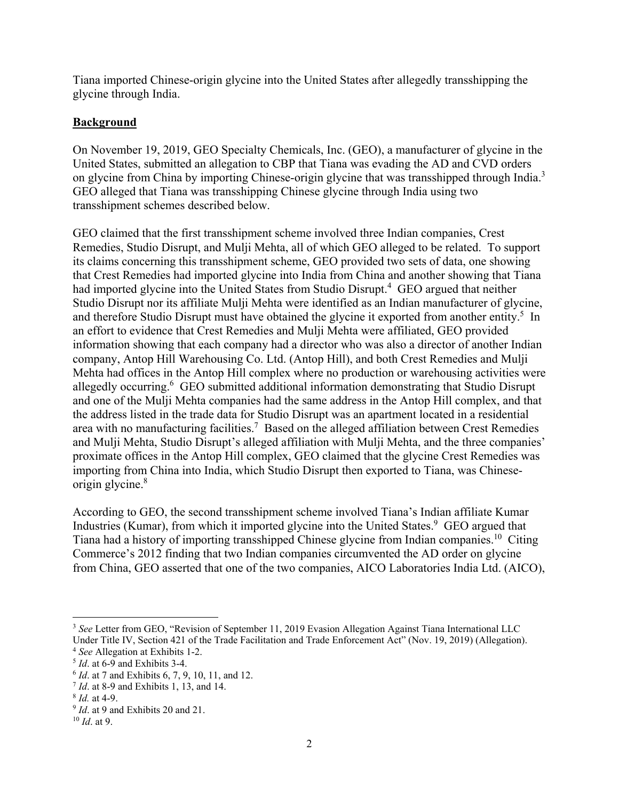Tiana imported Chinese-origin glycine into the United States after allegedly transshipping the glycine through India.

## **Background**

on glycine from China by importing Chinese-origin glycine that was transshipped through India.<sup>3</sup> On November 19, 2019, GEO Specialty Chemicals, Inc. (GEO), a manufacturer of glycine in the United States, submitted an allegation to CBP that Tiana was evading the AD and CVD orders GEO alleged that Tiana was transshipping Chinese glycine through India using two transshipment schemes described below.

origin glycine.<sup>8</sup> GEO claimed that the first transshipment scheme involved three Indian companies, Crest Remedies, Studio Disrupt, and Mulji Mehta, all of which GEO alleged to be related. To support its claims concerning this transshipment scheme, GEO provided two sets of data, one showing that Crest Remedies had imported glycine into India from China and another showing that Tiana had imported glycine into the United States from Studio Disrupt.<sup>4</sup> GEO argued that neither Studio Disrupt nor its affiliate Mulji Mehta were identified as an Indian manufacturer of glycine, and therefore Studio Disrupt must have obtained the glycine it exported from another entity.<sup>5</sup> In an effort to evidence that Crest Remedies and Mulji Mehta were affiliated, GEO provided information showing that each company had a director who was also a director of another Indian company, Antop Hill Warehousing Co. Ltd. (Antop Hill), and both Crest Remedies and Mulji Mehta had offices in the Antop Hill complex where no production or warehousing activities were allegedly occurring.<sup>6</sup> GEO submitted additional information demonstrating that Studio Disrupt and one of the Mulji Mehta companies had the same address in the Antop Hill complex, and that the address listed in the trade data for Studio Disrupt was an apartment located in a residential area with no manufacturing facilities.<sup>7</sup> Based on the alleged affiliation between Crest Remedies and Mulji Mehta, Studio Disrupt's alleged affiliation with Mulji Mehta, and the three companies' proximate offices in the Antop Hill complex, GEO claimed that the glycine Crest Remedies was importing from China into India, which Studio Disrupt then exported to Tiana, was Chinese-

According to GEO, the second transshipment scheme involved Tiana's Indian affiliate Kumar Industries (Kumar), from which it imported glycine into the United States.<sup>9</sup> GEO argued that Tiana had a history of importing transshipped Chinese glycine from Indian [companies.10](https://companies.10) Citing Commerce's 2012 finding that two Indian companies circumvented the AD order on glycine from China, GEO asserted that one of the two companies, AICO Laboratories India Ltd. (AICO),

Under Title IV, Section 421 of the Trade Facilitation and Trade Enforcement Act" (Nov. 19, 2019) (Allegation).<br>
<sup>4</sup> *See* Allegation at Exhibits 1-2.<br>
<sup>5</sup> *Id.* at 6-9 and Exhibits 3-4.<br>
<sup>6</sup> *Id.* at 7 and Exhibits 6, 7, <sup>3</sup> See Letter from GEO, "Revision of September 11, 2019 Evasion Allegation Against Tiana International LLC

 $7$  Id. at 8-9 and Exhibits 1, 13, and 14.

 $8$  *Id.* at 4-9.

 $9$  *Id.* at 9 and Exhibits 20 and 21.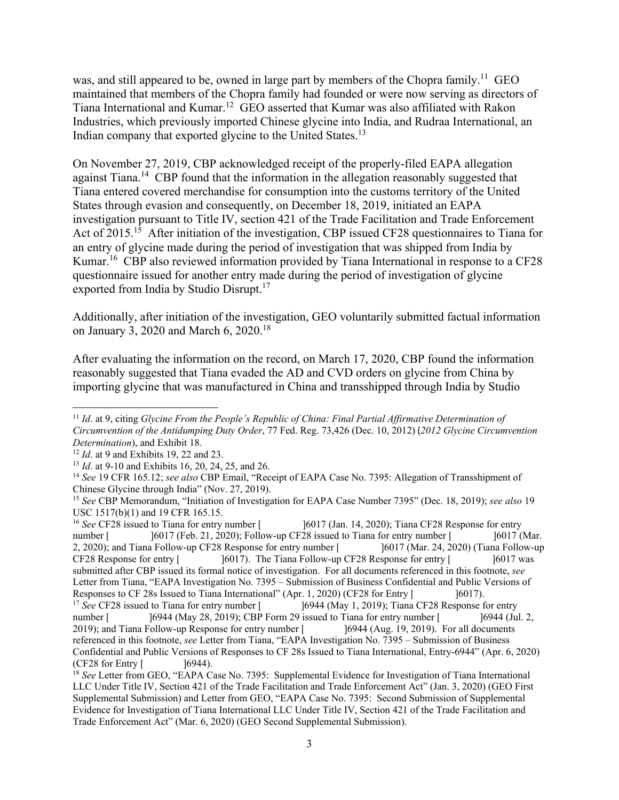Indian company that exported glycine to the United States.<sup>13</sup> was, and still appeared to be, owned in large part by members of the Chopra family.<sup>11</sup> GEO maintained that members of the Chopra family had founded or were now serving as directors of Tiana International and [Kumar.12](https://Kumar.12) GEO asserted that Kumar was also affiliated with Rakon Industries, which previously imported Chinese glycine into India, and Rudraa International, an

exported from India by Studio Disrupt.<sup>17</sup> On November 27, 2019, CBP acknowledged receipt of the properly-filed EAPA allegation against Tiana.<sup>14</sup> CBP found that the information in the allegation reasonably suggested that Tiana entered covered merchandise for consumption into the customs territory of the United States through evasion and consequently, on December 18, 2019, initiated an EAPA investigation pursuant to Title IV, section 421 of the Trade Facilitation and Trade Enforcement Act of 2015.<sup>15</sup> After initiation of the investigation, CBP issued CF28 questionnaires to Tiana for an entry of glycine made during the period of investigation that was shipped from India by Kumar.<sup>16</sup> CBP also reviewed information provided by Tiana International in response to a CF28 questionnaire issued for another entry made during the period of investigation of glycine

on January 3, 2020 and March 6, 2020.<sup>18</sup> Additionally, after initiation of the investigation, GEO voluntarily submitted factual information

After evaluating the information on the record, on March 17, 2020, CBP found the information reasonably suggested that Tiana evaded the AD and CVD orders on glycine from China by importing glycine that was manufactured in China and transshipped through India by Studio

[6017]. The Tiana Follow-up CF28 Response for entry [196017 was Letter from Tiana, "EAPA Investigation No. 7395 - Submission of Business Confidential and Public Versions of referenced in this footnote, *see* Letter from Tiana, "EAPA Investigation No. 7395 – Submission of Business <sup>16</sup>*See* CF28 issued to Tiana for entry number [ CF28 Response for entry [ number [ ]6017 (Jan. 14, 2020); Tiana CF28 Response for entry [6017 (Feb. 21, 2020); Follow-up CF28 issued to Tiana for entry number [ [6017 (Mar. 2, 2020); and Tiana Follow-up CF28 Response for entry number [ ]6017 (Mar. 24, 2020) (Tiana Follow-up submitted after CBP issued its formal notice of investigation. For all documents referenced in this footnote, *see*  number [ <sup>17</sup> See CF28 issued to Tiana for entry number  $\lceil$ Responses to CF 28s Issued to Tiana International" (Apr. 1, 2020) (CF28 for Entry [ ]6017).<br><sup>17</sup> *See* CF28 issued to Tiana for entry number [ ]6944 (May 1, 2019); Tiana CF28 Response for entry ]6944 (May 28, 2019); CBP Form 29 issued to Tiana for entry number [ 2019); and Tiana Follow-up Response for entry number [ ]6944 (Jul. 2, ]6944 (Aug. 19, 2019). For all documents Confidential and Public Versions of Responses to CF 28s Issued to Tiana International, Entry-6944" (Apr. 6, 2020) (CF28 for Entry [ ]6944). 18 *See* Letter from GEO, "EAPA Case No. 7395: Supplemental Evidence for Investigation of Tiana International

 *Circumvention of the Antidumping Duty Order*, 77 Fed. Reg. 73,426 (Dec. 10, 2012) (*2012 Glycine Circumvention*  Determination), and Exhibit 18. <sup>11</sup>*Id*. at 9, citing *Glycine From the People's Republic of China: Final Partial Affirmative Determination of* 

<sup>&</sup>lt;sup>12</sup> *Id.* at 9 and Exhibits 19, 22 and 23.<br><sup>13</sup> *Id.* at 9-10 and Exhibits 16, 20, 24, 25, and 26.<br><sup>14</sup> *See* 19 CFR 165.12; *see also* CBP Email, "Receipt of EAPA Case No. 7395: Allegation of Transshipment of Chinese Glycine through India" (Nov. 27, 2019).

<sup>15</sup>*See* CBP Memorandum, "Initiation of Investigation for EAPA Case Number 7395" (Dec. 18, 2019); *see also* 19 USC 1517(b)(1) and 19 CFR 165.15.

 LLC Under Title IV, Section 421 of the Trade Facilitation and Trade Enforcement Act" (Jan. 3, 2020) (GEO First Evidence for Investigation of Tiana International LLC Under Title IV, Section 421 of the Trade Facilitation and Supplemental Submission) and Letter from GEO, "EAPA Case No. 7395: Second Submission of Supplemental Trade Enforcement Act" (Mar. 6, 2020) (GEO Second Supplemental Submission).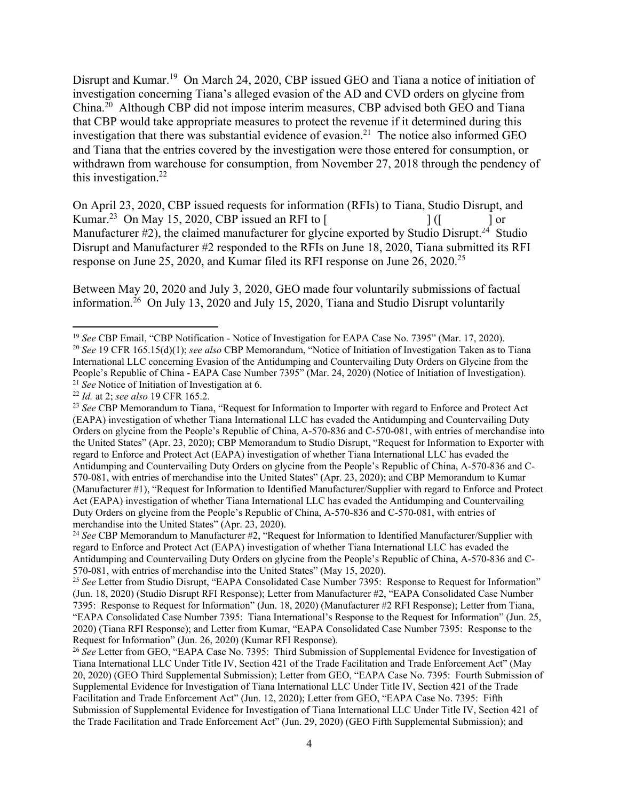Disrupt and [Kumar.](https://Kumar.19)<sup>19</sup> On March 24, 2020, CBP issued GEO and Tiana a notice of initiation of investigation concerning Tiana's alleged evasion of the AD and CVD orders on glycine from [China.](https://China.20)<sup>20</sup> Although CBP did not impose interim measures, CBP advised both GEO and Tiana that CBP would take appropriate measures to protect the revenue if it determined during this investigation that there was substantial evidence of evasion.<sup>21</sup> The notice also informed GEO and Tiana that the entries covered by the investigation were those entered for consumption, or withdrawn from warehouse for consumption, from November 27, 2018 through the pendency of this investigation. $^{22}$ 

 $]$  ([ ] or Manufacturer #2), the claimed manufacturer for glycine exported by Studio Disrupt.<sup>24</sup> Studio On April 23, 2020, CBP issued requests for information (RFIs) to Tiana, Studio Disrupt, and Kumar.<sup>23</sup> On May 15, 2020, CBP issued an RFI to [ Disrupt and Manufacturer #2 responded to the RFIs on June 18, 2020, Tiana submitted its RFI response on June 25, 2020, and Kumar filed its RFI response on June 26, 2020.<sup>25</sup>

Between May 20, 2020 and July 3, 2020, GEO made four voluntarily submissions of factual information.<sup>26</sup> On July 13, 2020 and July 15, 2020, Tiana and Studio Disrupt voluntarily

<sup>&</sup>lt;sup>19</sup> See CBP Email, "CBP Notification - Notice of Investigation for EAPA Case No. 7395" (Mar. 17, 2020).<br><sup>20</sup> See 19 CFR 165.15(d)(1); *see also* CBP Memorandum, "Notice of Initiation of Investigation Taken as to Tiana

People's Republic of China - EAPA Case Number 7395" (Mar. 24, 2020) (Notice of Initiation of Investigation).<br><sup>21</sup> See Notice of Initiation of Investigation at 6.<br><sup>22</sup> Id. at 2; see also 19 CFR 165.2.<br><sup>23</sup> See CBP Memorandu International LLC concerning Evasion of the Antidumping and Countervailing Duty Orders on Glycine from the People's Republic of China - EAPA Case Number 7395" (Mar. 24, 2020) (Notice of Initiation of Investigation).

 $22$  Id. at 2; see also 19 CFR 165.2.

 regard to Enforce and Protect Act (EAPA) investigation of whether Tiana International LLC has evaded the Antidumping and Countervailing Duty Orders on glycine from the People's Republic of China, A-570-836 and C- Act (EAPA) investigation of whether Tiana International LLC has evaded the Antidumping and Countervailing (EAPA) investigation of whether Tiana International LLC has evaded the Antidumping and Countervailing Duty Orders on glycine from the People's Republic of China, A-570-836 and C-570-081, with entries of merchandise into the United States" (Apr. 23, 2020); CBP Memorandum to Studio Disrupt, "Request for Information to Exporter with 570-081, with entries of merchandise into the United States" (Apr. 23, 2020); and CBP Memorandum to Kumar (Manufacturer #1), "Request for Information to Identified Manufacturer/Supplier with regard to Enforce and Protect Duty Orders on glycine from the People's Republic of China, A-570-836 and C-570-081, with entries of merchandise into the United States" (Apr. 23, 2020).

 regard to Enforce and Protect Act (EAPA) investigation of whether Tiana International LLC has evaded the Antidumping and Countervailing Duty Orders on glycine from the People's Republic of China, A-570-836 and C-<sup>24</sup> See CBP Memorandum to Manufacturer #2, "Request for Information to Identified Manufacturer/Supplier with 570-081, with entries of merchandise into the United States" (May 15, 2020).

<sup>25</sup>*See* Letter from Studio Disrupt, "EAPA Consolidated Case Number 7395: Response to Request for Information" (Jun. 18, 2020) (Studio Disrupt RFI Response); Letter from Manufacturer #2, "EAPA Consolidated Case Number 7395: Response to Request for Information" (Jun. 18, 2020) (Manufacturer #2 RFI Response); Letter from Tiana, "EAPA Consolidated Case Number 7395: Tiana International's Response to the Request for Information" (Jun. 25, 2020) (Tiana RFI Response); and Letter from Kumar, "EAPA Consolidated Case Number 7395: Response to the Request for Information" (Jun. 26, 2020) (Kumar RFI Response).

 20, 2020) (GEO Third Supplemental Submission); Letter from GEO, "EAPA Case No. 7395: Fourth Submission of Supplemental Evidence for Investigation of Tiana International LLC Under Title IV, Section 421 of the Trade Submission of Supplemental Evidence for Investigation of Tiana International LLC Under Title IV, Section 421 of <sup>26</sup> See Letter from GEO, "EAPA Case No. 7395: Third Submission of Supplemental Evidence for Investigation of Tiana International LLC Under Title IV, Section 421 of the Trade Facilitation and Trade Enforcement Act" (May Facilitation and Trade Enforcement Act" (Jun. 12, 2020); Letter from GEO, "EAPA Case No. 7395: Fifth the Trade Facilitation and Trade Enforcement Act" (Jun. 29, 2020) (GEO Fifth Supplemental Submission); and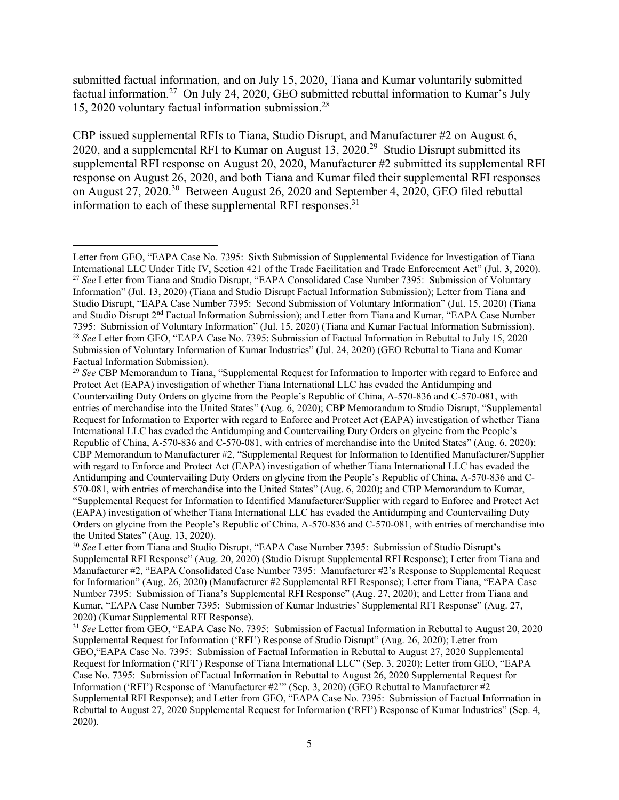15, 2020 voluntary factual information [submission.28](https://submission.28) submitted factual information, and on July 15, 2020, Tiana and Kumar voluntarily submitted factual [information.27](https://information.27) On July 24, 2020, GEO submitted rebuttal information to Kumar's July

information to each of these supplemental RFI responses. $31$ CBP issued supplemental RFIs to Tiana, Studio Disrupt, and Manufacturer #2 on August 6, 2020, and a supplemental RFI to Kumar on August  $13$ , 2020.<sup>29</sup> Studio Disrupt submitted its supplemental RFI response on August 20, 2020, Manufacturer #2 submitted its supplemental RFI response on August 26, 2020, and both Tiana and Kumar filed their supplemental RFI responses on August 27, 2020.30 Between August 26, 2020 and September 4, 2020, GEO filed rebuttal

 Letter from GEO, "EAPA Case No. 7395: Sixth Submission of Supplemental Evidence for Investigation of Tiana International LLC Under Title IV, Section 421 of the Trade Facilitation and Trade Enforcement Act" (Jul. 3, 2020).<br><sup>27</sup> See Letter from Tiana and Studio Disrupt, "EAPA Consolidated Case Number 7395: Submission of Voluntary Studio Disrupt, "EAPA Case Number 7395: Second Submission of Voluntary Information" (Jul. 15, 2020) (Tiana <sup>28</sup>*See* Letter from GEO, "EAPA Case No. 7395: Submission of Factual Information in Rebuttal to July 15, 2020 Information" (Jul. 13, 2020) (Tiana and Studio Disrupt Factual Information Submission); Letter from Tiana and and Studio Disrupt 2nd Factual Information Submission); and Letter from Tiana and Kumar, "EAPA Case Number 7395: Submission of Voluntary Information" (Jul. 15, 2020) (Tiana and Kumar Factual Information Submission). Submission of Voluntary Information of Kumar Industries" (Jul. 24, 2020) (GEO Rebuttal to Tiana and Kumar Factual Information Submission).

 <sup>29</sup>*See* CBP Memorandum to Tiana, "Supplemental Request for Information to Importer with regard to Enforce and Request for Information to Exporter with regard to Enforce and Protect Act (EAPA) investigation of whether Tiana with regard to Enforce and Protect Act (EAPA) investigation of whether Tiana International LLC has evaded the Antidumping and Countervailing Duty Orders on glycine from the People's Republic of China, A-570-836 and C-Protect Act (EAPA) investigation of whether Tiana International LLC has evaded the Antidumping and Countervailing Duty Orders on glycine from the People's Republic of China, A-570-836 and C-570-081, with entries of merchandise into the United States" (Aug. 6, 2020); CBP Memorandum to Studio Disrupt, "Supplemental International LLC has evaded the Antidumping and Countervailing Duty Orders on glycine from the People's Republic of China, A-570-836 and C-570-081, with entries of merchandise into the United States" (Aug. 6, 2020); CBP Memorandum to Manufacturer #2, "Supplemental Request for Information to Identified Manufacturer/Supplier 570-081, with entries of merchandise into the United States" (Aug. 6, 2020); and CBP Memorandum to Kumar, "Supplemental Request for Information to Identified Manufacturer/Supplier with regard to Enforce and Protect Act (EAPA) investigation of whether Tiana International LLC has evaded the Antidumping and Countervailing Duty Orders on glycine from the People's Republic of China, A-570-836 and C-570-081, with entries of merchandise into the United States" (Aug. 13, 2020).

 Supplemental RFI Response" (Aug. 20, 2020) (Studio Disrupt Supplemental RFI Response); Letter from Tiana and <sup>30</sup>*See* Letter from Tiana and Studio Disrupt, "EAPA Case Number 7395: Submission of Studio Disrupt's Manufacturer #2, "EAPA Consolidated Case Number 7395: Manufacturer #2's Response to Supplemental Request for Information" (Aug. 26, 2020) (Manufacturer #2 Supplemental RFI Response); Letter from Tiana, "EAPA Case Number 7395: Submission of Tiana's Supplemental RFI Response" (Aug. 27, 2020); and Letter from Tiana and Kumar, "EAPA Case Number 7395: Submission of Kumar Industries' Supplemental RFI Response" (Aug. 27, 2020) (Kumar Supplemental RFI Response).

 <sup>31</sup>*See* Letter from GEO, "EAPA Case No. 7395: Submission of Factual Information in Rebuttal to August 20, 2020 Supplemental Request for Information ('RFI') Response of Studio Disrupt" (Aug. 26, 2020); Letter from GEO,"EAPA Case No. 7395: Submission of Factual Information in Rebuttal to August 27, 2020 Supplemental Request for Information ('RFI') Response of Tiana International LLC" (Sep. 3, 2020); Letter from GEO, "EAPA Case No. 7395: Submission of Factual Information in Rebuttal to August 26, 2020 Supplemental Request for Information ('RFI') Response of 'Manufacturer #2'" (Sep. 3, 2020) (GEO Rebuttal to Manufacturer #2 Supplemental RFI Response); and Letter from GEO, "EAPA Case No. 7395: Submission of Factual Information in Rebuttal to August 27, 2020 Supplemental Request for Information ('RFI') Response of Kumar Industries" (Sep. 4, 2020).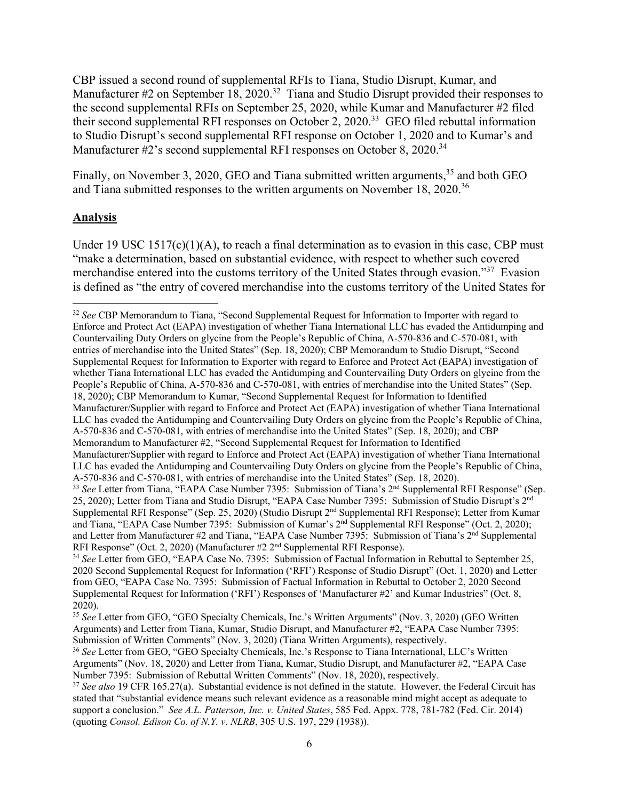Manufacturer #2's second supplemental RFI responses on October 8, 2020.<sup>34</sup> CBP issued a second round of supplemental RFIs to Tiana, Studio Disrupt, Kumar, and Manufacturer  $#2$  on September 18, 2020.<sup>32</sup> Tiana and Studio Disrupt provided their responses to the second supplemental RFIs on September 25, 2020, while Kumar and Manufacturer #2 filed their second supplemental RFI responses on October 2, 2020.<sup>33</sup> GEO filed rebuttal information to Studio Disrupt's second supplemental RFI response on October 1, 2020 and to Kumar's and

Finally, on November 3, 2020, GEO and Tiana submitted written arguments,<sup>35</sup> and both GEO and Tiana submitted responses to the written arguments on November 18, 2020.<sup>36</sup>

#### **Analysis**

Under 19 USC  $1517(c)(1)(A)$ , to reach a final determination as to evasion in this case, CBP must "make a determination, based on substantial evidence, with respect to whether such covered merchandise entered into the customs territory of the United States through evasion."<sup>37</sup> Evasion is defined as "the entry of covered merchandise into the customs territory of the United States for

 Supplemental Request for Information to Exporter with regard to Enforce and Protect Act (EAPA) investigation of Manufacturer/Supplier with regard to Enforce and Protect Act (EAPA) investigation of whether Tiana International Memorandum to Manufacturer #2, "Second Supplemental Request for Information to Identified Manufacturer/Supplier with regard to Enforce and Protect Act (EAPA) investigation of whether Tiana International <sup>32</sup>*See* CBP Memorandum to Tiana, "Second Supplemental Request for Information to Importer with regard to Enforce and Protect Act (EAPA) investigation of whether Tiana International LLC has evaded the Antidumping and Countervailing Duty Orders on glycine from the People's Republic of China, A-570-836 and C-570-081, with entries of merchandise into the United States" (Sep. 18, 2020); CBP Memorandum to Studio Disrupt, "Second whether Tiana International LLC has evaded the Antidumping and Countervailing Duty Orders on glycine from the People's Republic of China, A-570-836 and C-570-081, with entries of merchandise into the United States" (Sep. 18, 2020); CBP Memorandum to Kumar, "Second Supplemental Request for Information to Identified LLC has evaded the Antidumping and Countervailing Duty Orders on glycine from the People's Republic of China, A-570-836 and C-570-081, with entries of merchandise into the United States" (Sep. 18, 2020); and CBP LLC has evaded the Antidumping and Countervailing Duty Orders on glycine from the People's Republic of China, A-570-836 and C-570-081, with entries of merchandise into the United States" (Sep. 18, 2020). <sup>33</sup> See Letter from Tiana, "EAPA Case Number 7395: Submission of Tiana's 2<sup>nd</sup> Supplemental RFI Response" (Sep.

<sup>25, 2020);</sup> Letter from Tiana and Studio Disrupt, "EAPA Case Number 7395: Submission of Studio Disrupt's 2<sup>nd</sup> Supplemental RFI Response" (Sep. 25, 2020) (Studio Disrupt 2nd Supplemental RFI Response); Letter from Kumar and Tiana, "EAPA Case Number 7395: Submission of Kumar's 2nd Supplemental RFI Response" (Oct. 2, 2020); and Letter from Manufacturer #2 and Tiana, "EAPA Case Number 7395: Submission of Tiana's 2<sup>nd</sup> Supplemental RFI Response" (Oct. 2, 2020) (Manufacturer #2 2<sup>nd</sup> Supplemental RFI Response).<br><sup>34</sup> *See* Letter from GEO, "EAPA Case No. 7395: Submission of Factual Information in Rebuttal to September 25,

 from GEO, "EAPA Case No. 7395: Submission of Factual Information in Rebuttal to October 2, 2020 Second 2020 Second Supplemental Request for Information ('RFI') Response of Studio Disrupt" (Oct. 1, 2020) and Letter Supplemental Request for Information ('RFI') Responses of 'Manufacturer #2' and Kumar Industries" (Oct. 8, 2020).

Arguments) and Letter from Tiana, Kumar, Studio Disrupt, and Manufacturer #2, "EAPA Case Number 7395: Submission of Written Comments" (Nov. 3, 2020) (Tiana Written Arguments), respectively. <sup>35</sup>*See* Letter from GEO, "GEO Specialty Chemicals, Inc.'s Written Arguments" (Nov. 3, 2020) (GEO Written

<sup>&</sup>lt;sup>36</sup> See Letter from GEO, "GEO Specialty Chemicals, Inc.'s Response to Tiana International, LLC's Written Arguments" (Nov. 18, 2020) and Letter from Tiana, Kumar, Studio Disrupt, and Manufacturer #2, "EAPA Case Number 7395: Submission of Rebuttal Written Comments" (Nov. 18, 2020), respectively.

 <sup>37</sup>*See also* 19 CFR 165.27(a). Substantial evidence is not defined in the statute. However, the Federal Circuit has (quoting *Consol. Edison Co. of N.Y. v. NLRB*, 305 U.S. 197, 229 (1938)). stated that "substantial evidence means such relevant evidence as a reasonable mind might accept as adequate to support a conclusion." *See A.L. Patterson, Inc. v. United States*, 585 Fed. Appx. 778, 781-782 (Fed. Cir. 2014)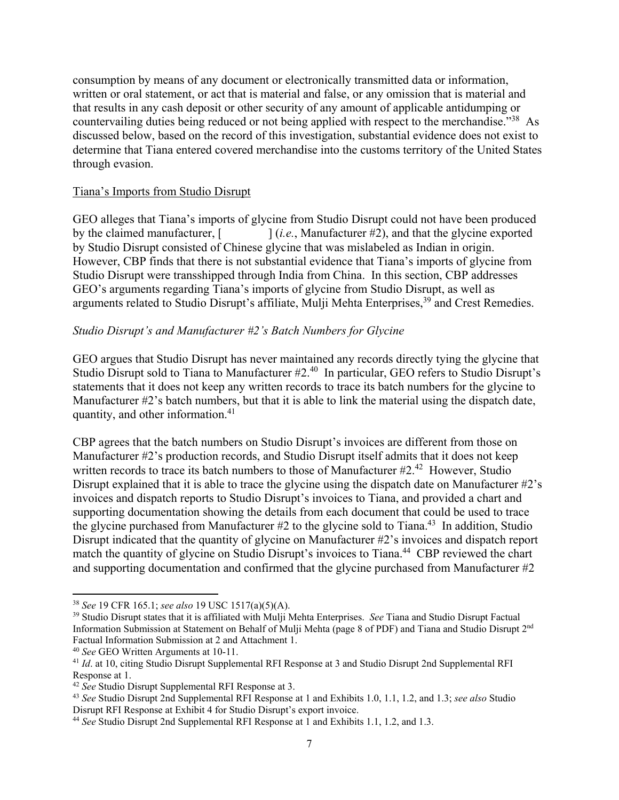consumption by means of any document or electronically transmitted data or information, written or oral statement, or act that is material and false, or any omission that is material and that results in any cash deposit or other security of any amount of applicable antidumping or countervailing duties being reduced or not being applied with respect to the merchandise."<sup>38</sup> As discussed below, based on the record of this investigation, substantial evidence does not exist to determine that Tiana entered covered merchandise into the customs territory of the United States through evasion.

#### Tiana's Imports from Studio Disrupt

GEO alleges that Tiana's imports of glycine from Studio Disrupt could not have been produced by the claimed manufacturer,  $[$   $]$  (*i.e.*, Manufacturer #2), and that the glycine exported by Studio Disrupt consisted of Chinese glycine that was mislabeled as Indian in origin. However, CBP finds that there is not substantial evidence that Tiana's imports of glycine from Studio Disrupt were transshipped through India from China. In this section, CBP addresses GEO's arguments regarding Tiana's imports of glycine from Studio Disrupt, as well as arguments related to Studio Disrupt's affiliate, Mulji Mehta Enterprises,<sup>39</sup> and Crest Remedies.

### *Studio Disrupt's and Manufacturer #2's Batch Numbers for Glycine*

quantity, and other information.<sup>41</sup> GEO argues that Studio Disrupt has never maintained any records directly tying the glycine that Studio Disrupt sold to Tiana to Manufacturer #2.<sup>40</sup> In particular, GEO refers to Studio Disrupt's statements that it does not keep any written records to trace its batch numbers for the glycine to Manufacturer #2's batch numbers, but that it is able to link the material using the dispatch date,

CBP agrees that the batch numbers on Studio Disrupt's invoices are different from those on Manufacturer #2's production records, and Studio Disrupt itself admits that it does not keep written records to trace its batch numbers to those of Manufacturer  $#2.^{42}$  However, Studio Disrupt explained that it is able to trace the glycine using the dispatch date on Manufacturer #2's invoices and dispatch reports to Studio Disrupt's invoices to Tiana, and provided a chart and supporting documentation showing the details from each document that could be used to trace the glycine purchased from Manufacturer  $#2$  to the glycine sold to Tiana.<sup>43</sup> In addition, Studio Disrupt indicated that the quantity of glycine on Manufacturer #2's invoices and dispatch report match the quantity of glycine on Studio Disrupt's invoices to Tiana.<sup>44</sup> CBP reviewed the chart and supporting documentation and confirmed that the glycine purchased from Manufacturer #2

<sup>&</sup>lt;sup>38</sup> See 19 CFR 165.1; *see also* 19 USC 1517(a)(5)(A).<br><sup>39</sup> Studio Disrupt states that it is affiliated with Mulji Mehta Enterprises. *See* Tiana and Studio Disrupt Factual Information Submission at Statement on Behalf of Mulji Mehta (page 8 of PDF) and Tiana and Studio Disrupt 2<sup>nd</sup> Factual Information Submission at 2 and Attachment 1.

<sup>&</sup>lt;sup>40</sup> See GEO Written Arguments at 10-11.<br><sup>41</sup> *Id*. at 10, citing Studio Disrupt Supplemental RFI Response at 3 and Studio Disrupt 2nd Supplemental RFI Response at 1.

 $42$  See Studio Disrupt Supplemental RFI Response at 3.

 <sup>42</sup>*See* Studio Disrupt Supplemental RFI Response at 3. 43 *See* Studio Disrupt 2nd Supplemental RFI Response at 1 and Exhibits 1.0, 1.1, 1.2, and 1.3; *see also* Studio Disrupt RFI Response at Exhibit 4 for Studio Disrupt's export invoice.

 <sup>44</sup>*See* Studio Disrupt 2nd Supplemental RFI Response at 1 and Exhibits 1.1, 1.2, and 1.3.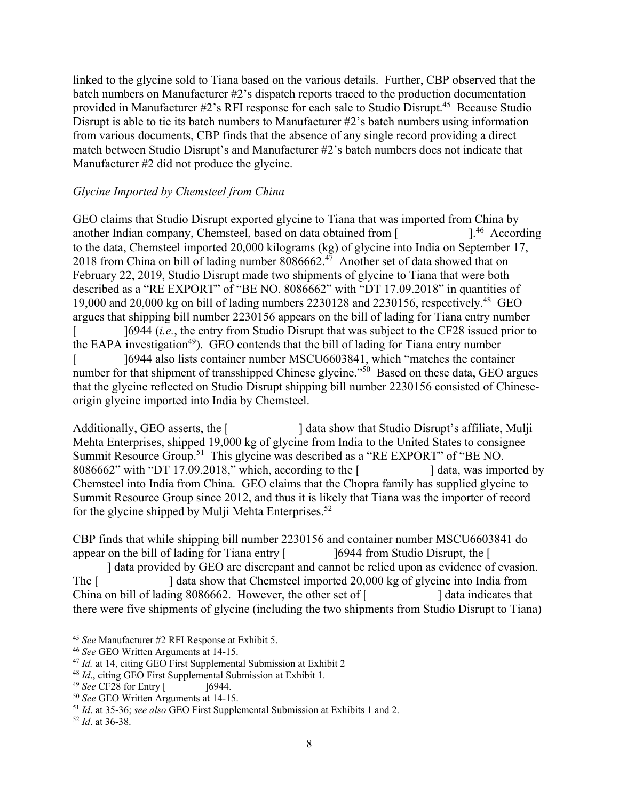linked to the glycine sold to Tiana based on the various details. Further, CBP observed that the batch numbers on Manufacturer #2's dispatch reports traced to the production documentation provided in Manufacturer  $\#2$ 's RFI response for each sale to Studio Disrupt.<sup>45</sup> Because Studio Disrupt is able to tie its batch numbers to Manufacturer #2's batch numbers using information from various documents, CBP finds that the absence of any single record providing a direct match between Studio Disrupt's and Manufacturer #2's batch numbers does not indicate that Manufacturer #2 did not produce the glycine.

### *Glycine Imported by Chemsteel from China*

GEO claims that Studio Disrupt exported glycine to Tiana that was imported from China by another Indian company, Chemsteel, based on data obtained from  $\lceil$  [.<sup>46</sup> According to the data, Chemsteel imported 20,000 kilograms (kg) of glycine into India on September 17, 2018 from China on bill of lading number 8086662.<sup>47</sup> Another set of data showed that on February 22, 2019, Studio Disrupt made two shipments of glycine to Tiana that were both described as a "RE EXPORT" of "BE NO. 8086662" with "DT 17.09.2018" in quantities of 19,000 and 20,000 kg on bill of lading numbers  $2230128$  and  $2230156$ , respectively.<sup>48</sup> GEO argues that shipping bill number 2230156 appears on the bill of lading for Tiana entry number ]6944 (*i.e.*, the entry from Studio Disrupt that was subject to the CF28 issued prior to the EAPA investigation<sup>49</sup>). GEO contends that the bill of lading for Tiana entry number ]6944 also lists container number MSCU6603841, which "matches the container number for that shipment of transshipped Chinese glycine."<sup>50</sup> Based on these data, GEO argues that the glycine reflected on Studio Disrupt shipping bill number 2230156 consisted of Chineseorigin glycine imported into India by Chemsteel.  $\overline{[}$  $\overline{a}$ 

Additionally, GEO asserts, the [ ] data show that Studio Disrupt's affiliate, Mulji Mehta Enterprises, shipped 19,000 kg of glycine from India to the United States to consignee Summit Resource [Group.](https://Group.51)51 This glycine was described as a "RE EXPORT" of "BE NO. 8086662" with "DT 17.09.2018," which, according to the [ ] data, was imported by Chemsteel into India from China. GEO claims that the Chopra family has supplied glycine to Summit Resource Group since 2012, and thus it is likely that Tiana was the importer of record for the glycine shipped by Mulji Mehta Enterprises. $52$ 

appear on the bill of lading for Tiana entry  $\sim$  16944 from Studio Disrupt, the [ CBP finds that while shipping bill number 2230156 and container number MSCU6603841 do

] data provided by GEO are discrepant and cannot be relied upon as evidence of evasion. The [ ] data show that Chemsteel imported 20,000 kg of glycine into India from China on bill of lading 8086662. However, the other set of [ ] data indicates that there were five shipments of glycine (including the two shipments from Studio Disrupt to Tiana)

<sup>&</sup>lt;sup>45</sup> See Manufacturer #2 RFI Response at Exhibit 5.<br><sup>46</sup> See GEO Written Arguments at 14-15.<br><sup>47</sup> Id. at 14, citing GEO First Supplemental Submission at Exhibit 2<br><sup>48</sup> Id., citing GEO First Supplemental Submission at Exhi

 $48$  *Id.*, citing GEO First Supplemental Submission at Exhibit 1.

<sup>&</sup>lt;sup>49</sup> *See* CF28 for Entry [ <sup>50</sup> *See* GEO Written Arguments at 14-15.<br><sup>51</sup> *Id*. at 35-36; *see also* GEO First Supplemental Submission at Exhibits 1 and 2.<br><sup>52</sup> *Id*. at 36-38.

 $52$  *Id.* at 36-38.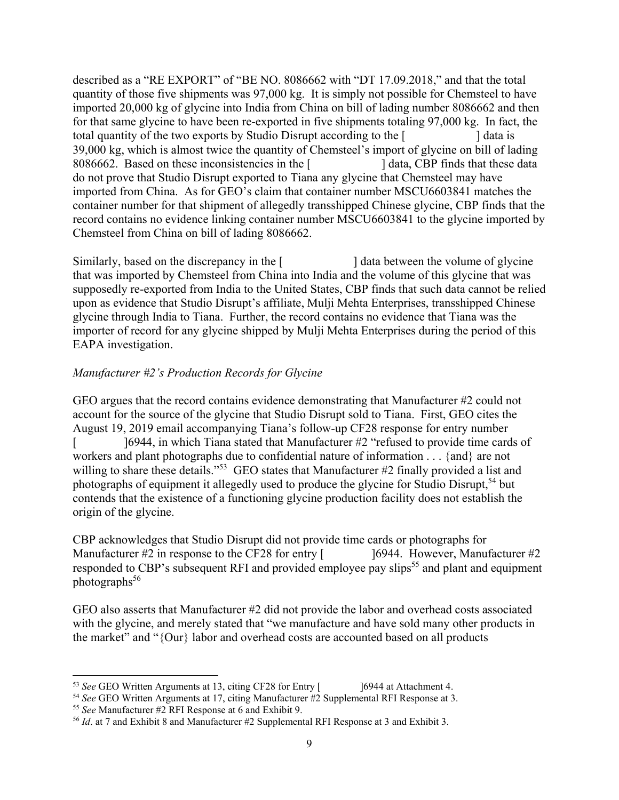described as a "RE EXPORT" of "BE NO. 8086662 with "DT 17.09.2018," and that the total quantity of those five shipments was 97,000 kg. It is simply not possible for Chemsteel to have imported 20,000 kg of glycine into India from China on bill of lading number 8086662 and then imported from China. As for GEO's claim that container number MSCU6603841 matches the container number for that shipment of allegedly transshipped Chinese glycine, CBP finds that the record contains no evidence linking container number MSCU6603841 to the glycine imported by Chemsteel from China on bill of lading 8086662. for that same glycine to have been re-exported in five shipments totaling 97,000 kg. In fact, the total quantity of the two exports by Studio Disrupt according to the [ ] data is 39,000 kg, which is almost twice the quantity of Chemsteel's import of glycine on bill of lading 8086662. Based on these inconsistencies in the [ ] data, CBP finds that these data do not prove that Studio Disrupt exported to Tiana any glycine that Chemsteel may have

Similarly, based on the discrepancy in the [ ] data between the volume of glycine that was imported by Chemsteel from China into India and the volume of this glycine that was supposedly re-exported from India to the United States, CBP finds that such data cannot be relied upon as evidence that Studio Disrupt's affiliate, Mulji Mehta Enterprises, transshipped Chinese glycine through India to Tiana. Further, the record contains no evidence that Tiana was the importer of record for any glycine shipped by Mulji Mehta Enterprises during the period of this EAPA investigation.

## *Manufacturer #2's Production Records for Glycine*

 $\overline{[}$ GEO argues that the record contains evidence demonstrating that Manufacturer #2 could not account for the source of the glycine that Studio Disrupt sold to Tiana. First, GEO cites the August 19, 2019 email accompanying Tiana's follow-up CF28 response for entry number ]6944, in which Tiana stated that Manufacturer #2 "refused to provide time cards of workers and plant photographs due to confidential nature of information . . . {and} are not willing to share these details."<sup>53</sup> GEO states that Manufacturer #2 finally provided a list and photographs of equipment it allegedly used to produce the glycine for Studio Disrupt,<sup>54</sup> but contends that the existence of a functioning glycine production facility does not establish the origin of the glycine.

photographs<sup>56</sup> CBP acknowledges that Studio Disrupt did not provide time cards or photographs for Manufacturer  $#2$  in response to the CF28 for entry [  $\qquad \qquad$  16944. However, Manufacturer  $#2$ responded to CBP's subsequent RFI and provided employee pay slips<sup>55</sup> and plant and equipment

GEO also asserts that Manufacturer #2 did not provide the labor and overhead costs associated with the glycine, and merely stated that "we manufacture and have sold many other products in the market" and "{Our} labor and overhead costs are accounted based on all products

<sup>&</sup>lt;sup>53</sup> See GEO Written Arguments at 13, citing CF28 for Entry  $\begin{bmatrix} 16944 & 1644 \\ 16944 & 1644 \\ 16944 & 1644 \\ 16944 & 1644 \\ 16944 & 1644 \\ 16944 & 1644 \\ 16944 & 1644 \\ 16944 & 1644 \\ 16944 & 1644 \\ 16944 & 1644 \\ 169$ 

<sup>&</sup>lt;sup>55</sup> See Manufacturer #2 RFI Response at 6 and Exhibit 9.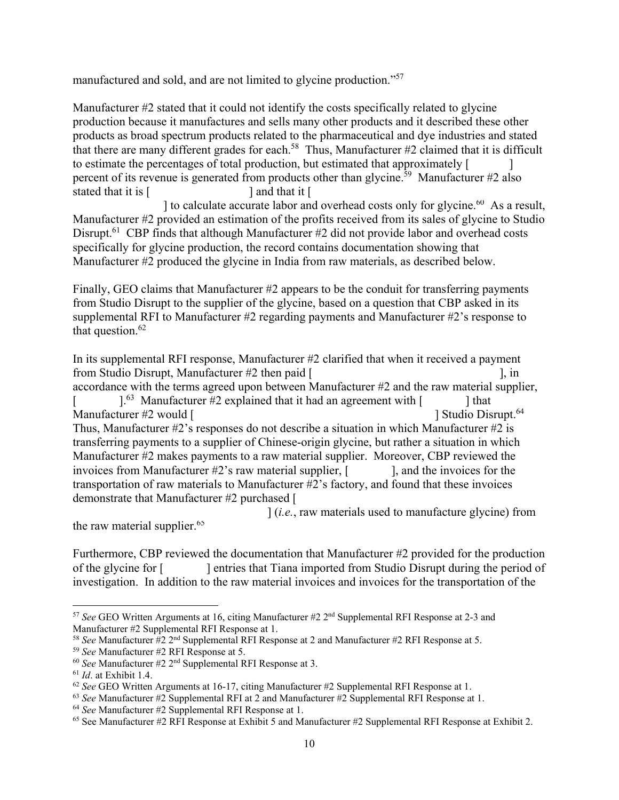manufactured and sold, and are not limited to glycine production."57

Manufacturer #2 stated that it could not identify the costs specifically related to glycine production because it manufactures and sells many other products and it described these other products as broad spectrum products related to the pharmaceutical and dye industries and stated that there are many different grades for each.<sup>58</sup> Thus, Manufacturer  $#2$  claimed that it is difficult to estimate the percentages of total production, but estimated that approximately [ ] percent of its revenue is generated from products other than glycine.<sup>59</sup> Manufacturer #2 also stated that it is [ ] and that it [

] to calculate accurate labor and overhead costs only for glycine.<sup>60</sup> As a result, Manufacturer #2 provided an estimation of the profits received from its sales of glycine to Studio Disrupt.<sup>61</sup> CBP finds that although Manufacturer #2 did not provide labor and overhead costs specifically for glycine production, the record contains documentation showing that Manufacturer #2 produced the glycine in India from raw materials, as described below.

that question. $62$ Finally, GEO claims that Manufacturer #2 appears to be the conduit for transferring payments from Studio Disrupt to the supplier of the glycine, based on a question that CBP asked in its supplemental RFI to Manufacturer #2 regarding payments and Manufacturer #2's response to

<sup>1</sup> Studio Disrupt.<sup>64</sup>  $]$ <sup>63</sup> Manufacturer #2 explained that it had an agreement with [ ] that Manufacturer  $#2$  would  $[$ Thus, Manufacturer #2's responses do not describe a situation in which Manufacturer #2 is transferring payments to a supplier of Chinese-origin glycine, but rather a situation in which In its supplemental RFI response, Manufacturer #2 clarified that when it received a payment from Studio Disrupt, Manufacturer  $#2$  then paid  $[$ , in accordance with the terms agreed upon between Manufacturer #2 and the raw material supplier,  $\overline{[}$ Manufacturer #2 makes payments to a raw material supplier. Moreover, CBP reviewed the invoices from Manufacturer  $\#2$ 's raw material supplier,  $\left[\begin{array}{cc} 1, & 1 \end{array}\right]$ , and the invoices for the transportation of raw materials to Manufacturer #2's factory, and found that these invoices demonstrate that Manufacturer #2 purchased [

the raw material supplier.<sup>65</sup> ] (*i.e.*, raw materials used to manufacture glycine) from

Furthermore, CBP reviewed the documentation that Manufacturer #2 provided for the production of the glycine for [ ] entries that Tiana imported from Studio Disrupt during the period of investigation. In addition to the raw material invoices and invoices for the transportation of the

<sup>57</sup>*See* GEO Written Arguments at 16, citing Manufacturer #2 2nd Supplemental RFI Response at 2-3 and Manufacturer #2 Supplemental RFI Response at 1.<br><sup>58</sup> See Manufacturer #2 2<sup>nd</sup> Supplemental RFI Response at 2 and Manufacturer #2 RFI Response at 5.

<sup>&</sup>lt;sup>61</sup> *Id.* at Exhibit 1.4.<br><sup>62</sup> *See* GEO Written Arguments at 16-17, citing Manufacturer #2 Supplemental RFI Response at 1.

<sup>&</sup>lt;sup>58</sup> See Manufacturer #2 2<sup>nd</sup> Supplemental RFI Response at 2 and Manufacturer #2 RFI Response at 5.<br><sup>59</sup> See Manufacturer #2 RFI Response at 5.<br><sup>60</sup> See Manufacturer #2 2<sup>nd</sup> Supplemental RFI Response at 3.<br><sup>61</sup> Id. at E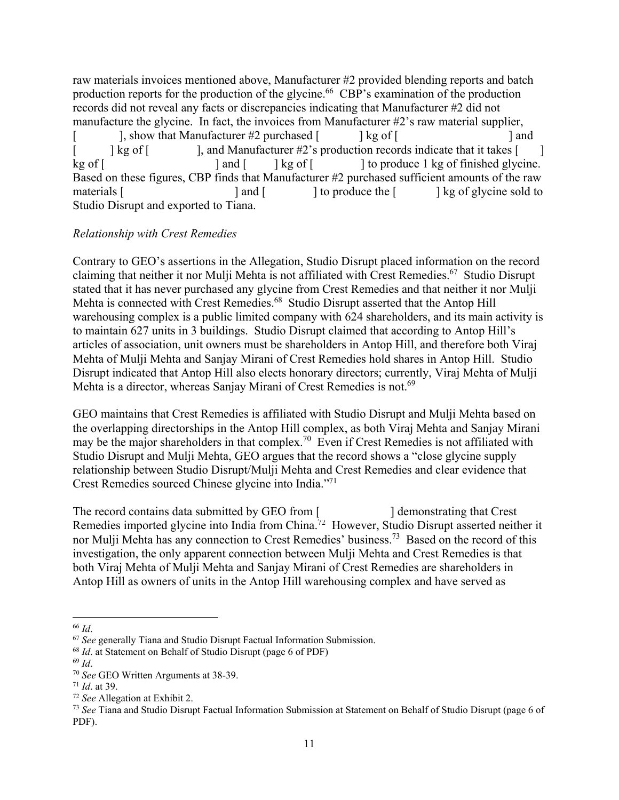raw materials invoices mentioned above, Manufacturer #2 provided blending reports and batch production reports for the production of the glycine.<sup>66</sup> CBP's examination of the production records did not reveal any facts or discrepancies indicating that Manufacturer #2 did not manufacture the glycine. In fact, the invoices from Manufacturer #2's raw material supplier,  $\overline{[}$  $\log$  of  $\lceil$ kg of [ ], show that Manufacturer #2 purchased  $\lceil \cdot \cdot \cdot \rceil$  kg of  $\lceil \cdot \cdot \cdot \rceil$ ], and Manufacturer #2's production records indicate that it takes [  $\lceil$  and  $\lceil$   $\lceil$  kg of  $\lceil$ ] and  $\perp$ ] to produce 1 kg of finished glycine. Based on these figures, CBP finds that Manufacturer #2 purchased sufficient amounts of the raw materials [ ] and [ ] to produce the [ ] kg of glycine sold to Studio Disrupt and exported to Tiana.

# *Relationship with Crest Remedies*

Mehta is a director, whereas Sanjay Mirani of Crest Remedies is not.<sup>69</sup> Contrary to GEO's assertions in the Allegation, Studio Disrupt placed information on the record claiming that neither it nor Mulji Mehta is not affiliated with Crest Remedies.<sup>67</sup> Studio Disrupt stated that it has never purchased any glycine from Crest Remedies and that neither it nor Mulji Mehta is connected with Crest Remedies.<sup>68</sup> Studio Disrupt asserted that the Antop Hill warehousing complex is a public limited company with 624 shareholders, and its main activity is to maintain 627 units in 3 buildings. Studio Disrupt claimed that according to Antop Hill's articles of association, unit owners must be shareholders in Antop Hill, and therefore both Viraj Mehta of Mulji Mehta and Sanjay Mirani of Crest Remedies hold shares in Antop Hill. Studio Disrupt indicated that Antop Hill also elects honorary directors; currently, Viraj Mehta of Mulji

GEO maintains that Crest Remedies is affiliated with Studio Disrupt and Mulji Mehta based on the overlapping directorships in the Antop Hill complex, as both Viraj Mehta and Sanjay Mirani may be the major shareholders in that [complex.](https://complex.70)<sup>70</sup> Even if Crest Remedies is not affiliated with Studio Disrupt and Mulji Mehta, GEO argues that the record shows a "close glycine supply relationship between Studio Disrupt/Mulji Mehta and Crest Remedies and clear evidence that Crest Remedies sourced Chinese glycine into India."71

The record contains data submitted by GEO from [ Remedies imported glycine into India from [China.](https://China.72)<sup>72</sup> However, Studio Disrupt asserted neither it ] demonstrating that Crest nor Mulji Mehta has any connection to Crest Remedies' [business.73](https://business.73) Based on the record of this investigation, the only apparent connection between Mulji Mehta and Crest Remedies is that both Viraj Mehta of Mulji Mehta and Sanjay Mirani of Crest Remedies are shareholders in Antop Hill as owners of units in the Antop Hill warehousing complex and have served as

 $67$  See generally Tiana and Studio Disrupt Factual Information Submission.

 $68$  *Id.* at Statement on Behalf of Studio Disrupt (page 6 of PDF)

<sup>&</sup>lt;sup>66</sup> *Id.*<br><sup>67</sup> *See* generally Tiana and Studio Disrupt Factual Information Submission.<br><sup>68</sup> *Id.* at Statement on Behalf of Studio Disrupt (page 6 of PDF)<br><sup>69</sup> *Id.*<br><sup>70</sup> *See* GEO Written Arguments at 38-39.<br><sup>71</sup> *Id.* PDF).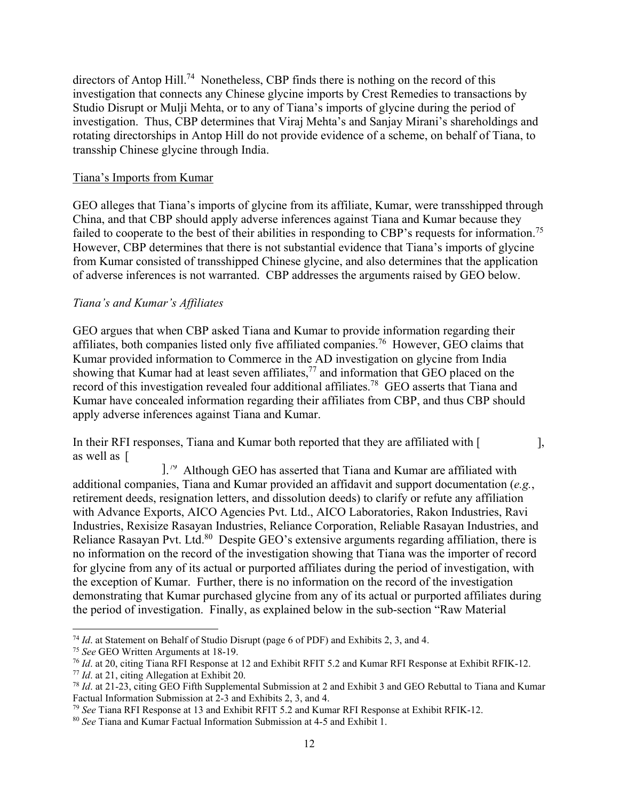directors of Antop Hill.<sup>74</sup> Nonetheless, CBP finds there is nothing on the record of this investigation that connects any Chinese glycine imports by Crest Remedies to transactions by Studio Disrupt or Mulji Mehta, or to any of Tiana's imports of glycine during the period of investigation. Thus, CBP determines that Viraj Mehta's and Sanjay Mirani's shareholdings and rotating directorships in Antop Hill do not provide evidence of a scheme, on behalf of Tiana, to transship Chinese glycine through India.

#### Tiana's Imports from Kumar

failed to cooperate to the best of their abilities in responding to CBP's requests for [information.](https://information.75)<sup>75</sup> GEO alleges that Tiana's imports of glycine from its affiliate, Kumar, were transshipped through China, and that CBP should apply adverse inferences against Tiana and Kumar because they However, CBP determines that there is not substantial evidence that Tiana's imports of glycine from Kumar consisted of transshipped Chinese glycine, and also determines that the application of adverse inferences is not warranted. CBP addresses the arguments raised by GEO below.

#### *Tiana's and Kumar's Affiliates*

GEO argues that when CBP asked Tiana and Kumar to provide information regarding their affiliates, both companies listed only five affiliated [companies.](https://companies.76)76 However, GEO claims that Kumar provided information to Commerce in the AD investigation on glycine from India showing that Kumar had at least seven affiliates, $^{77}$  and information that GEO placed on the record of this investigation revealed four additional affiliates.<sup>78</sup> GEO asserts that Tiana and Kumar have concealed information regarding their affiliates from CBP, and thus CBP should apply adverse inferences against Tiana and Kumar.

In their RFI responses, Tiana and Kumar both reported that they are affiliated with [  $\qquad \qquad$  ], as well as [

1.<sup>79</sup> Although GEO has asserted that Tiana and Kumar are affiliated with additional companies, Tiana and Kumar provided an affidavit and support documentation (*e.g.*, retirement deeds, resignation letters, and dissolution deeds) to clarify or refute any affiliation with Advance Exports, AICO Agencies Pvt. Ltd., AICO Laboratories, Rakon Industries, Ravi Industries, Rexisize Rasayan Industries, Reliance Corporation, Reliable Rasayan Industries, and Reliance Rasayan Pvt. Ltd.<sup>80</sup> Despite GEO's extensive arguments regarding affiliation, there is no information on the record of the investigation showing that Tiana was the importer of record for glycine from any of its actual or purported affiliates during the period of investigation, with the exception of Kumar. Further, there is no information on the record of the investigation demonstrating that Kumar purchased glycine from any of its actual or purported affiliates during the period of investigation. Finally, as explained below in the sub-section "Raw Material

<sup>&</sup>lt;sup>74</sup> *Id.* at Statement on Behalf of Studio Disrupt (page 6 of PDF) and Exhibits 2, 3, and 4.<br><sup>75</sup> *See* GEO Written Arguments at 18-19.

<sup>&</sup>lt;sup>76</sup> *Id.* at 20, citing Tiana RFI Response at 12 and Exhibit RFIT 5.2 and Kumar RFI Response at Exhibit RFIK-12.<br><sup>77</sup> *Id.* at 21, citing Allegation at Exhibit 20.<br><sup>78</sup> *Id.* at 21-23, citing GEO Fifth Supplemental Submi

Factual Information Submission at 2-3 and Exhibits 2, 3, and 4.

<sup>79</sup>*See* Tiana RFI Response at 13 and Exhibit RFIT 5.2 and Kumar RFI Response at Exhibit RFIK-12. 80 *See* Tiana and Kumar Factual Information Submission at 4-5 and Exhibit 1.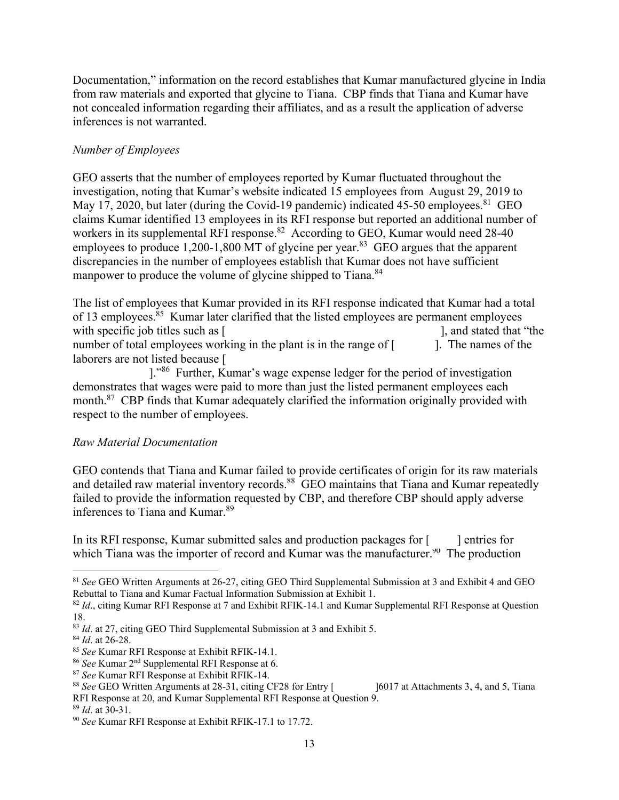Documentation," information on the record establishes that Kumar manufactured glycine in India from raw materials and exported that glycine to Tiana. CBP finds that Tiana and Kumar have not concealed information regarding their affiliates, and as a result the application of adverse inferences is not warranted.

# *Number of Employees*

manpower to produce the volume of glycine shipped to Tiana.<sup>84</sup> GEO asserts that the number of employees reported by Kumar fluctuated throughout the investigation, noting that Kumar's website indicated 15 employees from August 29, 2019 to May 17, 2020, but later (during the Covid-19 pandemic) indicated 45-50 employees.  $81$  GEO claims Kumar identified 13 employees in its RFI response but reported an additional number of workers in its supplemental RFI response.<sup>82</sup> According to GEO, Kumar would need 28-40 employees to produce  $1,200-1,800$  MT of glycine per year.<sup>83</sup> GEO argues that the apparent discrepancies in the number of employees establish that Kumar does not have sufficient

The list of employees that Kumar provided in its RFI response indicated that Kumar had a total of 13 employees.<sup>85</sup> Kumar later clarified that the listed employees are permanent employees with specific job titles such as [ ], and stated that "the number of total employees working in the plant is in the range of  $\left[$   $\right]$ . The names of the laborers are not listed because [

]."86 Further, Kumar's wage expense ledger for the period of investigation demonstrates that wages were paid to more than just the listed permanent employees each month.<sup>87</sup> CBP finds that Kumar adequately clarified the information originally provided with respect to the number of employees.

# *Raw Material Documentation*

GEO contends that Tiana and Kumar failed to provide certificates of origin for its raw materials and detailed raw material inventory records.<sup>88</sup> GEO maintains that Tiana and Kumar repeatedly failed to provide the information requested by CBP, and therefore CBP should apply adverse inferences to Tiana and [Kumar.89](https://Kumar.89) 

In its RFI response, Kumar submitted sales and production packages for [ which Tiana was the importer of record and Kumar was the [manufacturer.](https://manufacturer.90)<sup>90</sup> The production ] entries for

<sup>81</sup>*See* GEO Written Arguments at 26-27, citing GEO Third Supplemental Submission at 3 and Exhibit 4 and GEO Rebuttal to Tiana and Kumar Factual Information Submission at Exhibit 1.

<sup>&</sup>lt;sup>82</sup> Id., citing Kumar RFI Response at 7 and Exhibit RFIK-14.1 and Kumar Supplemental RFI Response at Question

<sup>18.&</sup>lt;br><sup>83</sup> *Id.* at 27, citing GEO Third Supplemental Submission at 3 and Exhibit 5.

<sup>&</sup>lt;sup>86</sup> See Kumar 2<sup>nd</sup> Supplemental RFI Response at 6.

<sup>&</sup>lt;sup>87</sup> See Kumar RFI Response at Exhibit RFIK-14.<br><sup>88</sup> See GEO Written Arguments at 28-31, citing CF28 for Entry [ RFI Response at 20, and Kumar Supplemental RFI Response at Question 9. <sup>83</sup> *Id.* at 27, citing GEO Third Supplemental Submission at 3 and Exhibit 5.<br><sup>84</sup> *Id.* at 26-28.<br><sup>85</sup> *See* Kumar RFI Response at Exhibit RFIK-14.1.<br><sup>86</sup> *See* Kumar RFI Response at Exhibit RFIK-14.<br><sup>87</sup> *See* Kumar RFI

<sup>&</sup>lt;sup>89</sup> *Id*. at 30-31.<br><sup>90</sup> *See* Kumar RFI Response at Exhibit RFIK-17.1 to 17.72.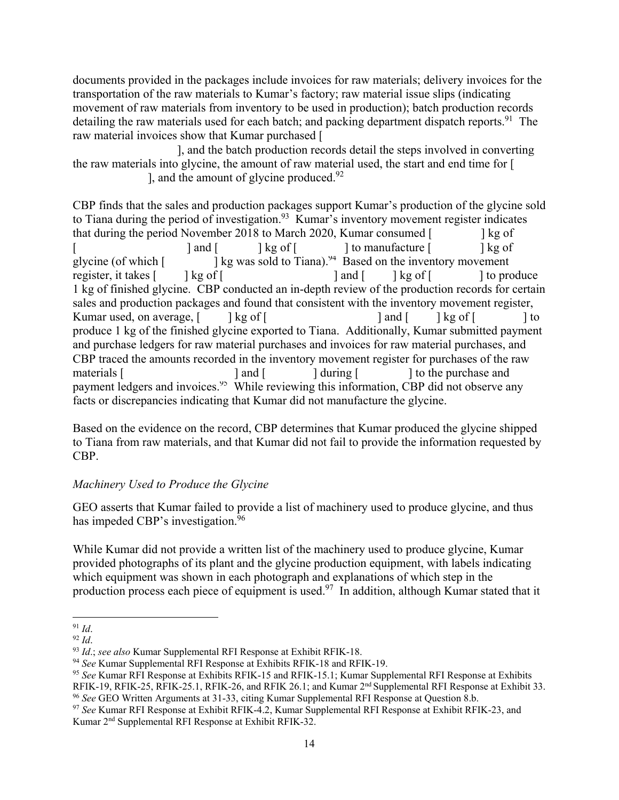raw material invoices show that Kumar purchased [ documents provided in the packages include invoices for raw materials; delivery invoices for the transportation of the raw materials to Kumar's factory; raw material issue slips (indicating movement of raw materials from inventory to be used in production); batch production records detailing the raw materials used for each batch; and packing department dispatch reports.<sup>91</sup> The

], and the batch production records detail the steps involved in converting ], and the amount of glycine produced. $92$ the raw materials into glycine, the amount of raw material used, the start and end time for [

CBP finds that the sales and production packages support Kumar's production of the glycine sold to Tiana during the period of [investigation.](https://investigation.93)<sup>93</sup> Kumar's inventory movement register indicates glycine (of which [ register, it takes [  $\overline{[}$  $\lceil \log$  of  $\lceil$ ] and [ that during the period November 2018 to March 2020, Kumar consumed [ ] to manufacture [  $\lceil$  and  $\lceil$   $\lceil$   $\lceil$  kg of  $\lceil$ ] kg of  $\lceil \log$  of  $\lceil$ ] kg was sold to Tiana).<sup>94</sup> Based on the inventory movement ] kg of ] to produce 1 kg of finished glycine. CBP conducted an in-depth review of the production records for certain sales and production packages and found that consistent with the inventory movement register, Kumar used, on average,  $\begin{bmatrix} \phantom{i} \end{bmatrix}$  kg of  $\begin{bmatrix} \phantom{i} \end{bmatrix}$  and  $\begin{bmatrix} \phantom{i} \end{bmatrix}$  kg of  $\begin{bmatrix} \phantom{i} \end{bmatrix}$  to produce 1 kg of the finished glycine exported to Tiana. Additionally, Kumar submitted payment and purchase ledgers for raw material purchases and invoices for raw material purchases, and CBP traced the amounts recorded in the inventory movement register for purchases of the raw materials [ ] and [ ] during [ ] to the purchase and payment ledgers and invoices.<sup>95</sup> While reviewing this information, CBP did not observe any facts or discrepancies indicating that Kumar did not manufacture the glycine.

Based on the evidence on the record, CBP determines that Kumar produced the glycine shipped to Tiana from raw materials, and that Kumar did not fail to provide the information requested by CBP.

# *Machinery Used to Produce the Glycine*

has impeded CBP's investigation.<sup>96</sup> GEO asserts that Kumar failed to provide a list of machinery used to produce glycine, and thus

While Kumar did not provide a written list of the machinery used to produce glycine, Kumar provided photographs of its plant and the glycine production equipment, with labels indicating which equipment was shown in each photograph and explanations of which step in the production process each piece of equipment is used.<sup>97</sup> In addition, although Kumar stated that it

RFIK-19, RFIK-25, RFIK-25.1, RFIK-26, and RFIK 26.1; and Kumar 2<sup>nd</sup> Supplemental RFI Response at Exhibit 33. <sup>96</sup> See GEO Written Arguments at 31-33, citing Kumar Supplemental RFI Response at Question 8.b. <sup>91</sup> *Id.*<br><sup>92</sup> *Id.*<br><sup>93</sup> *Id.*; *see also* Kumar Supplemental RFI Response at Exhibit RFIK-18.<br><sup>94</sup> *See* Kumar Supplemental RFI Response at Exhibits RFIK-18 and RFIK-19.<br><sup>95</sup> *See* Kumar RFI Response at Exhibits RFIK-1

<sup>97</sup> See Kumar RFI Response at Exhibit RFIK-4.2, Kumar Supplemental RFI Response at Exhibit RFIK-23, and Kumar 2nd Supplemental RFI Response at Exhibit RFIK-32.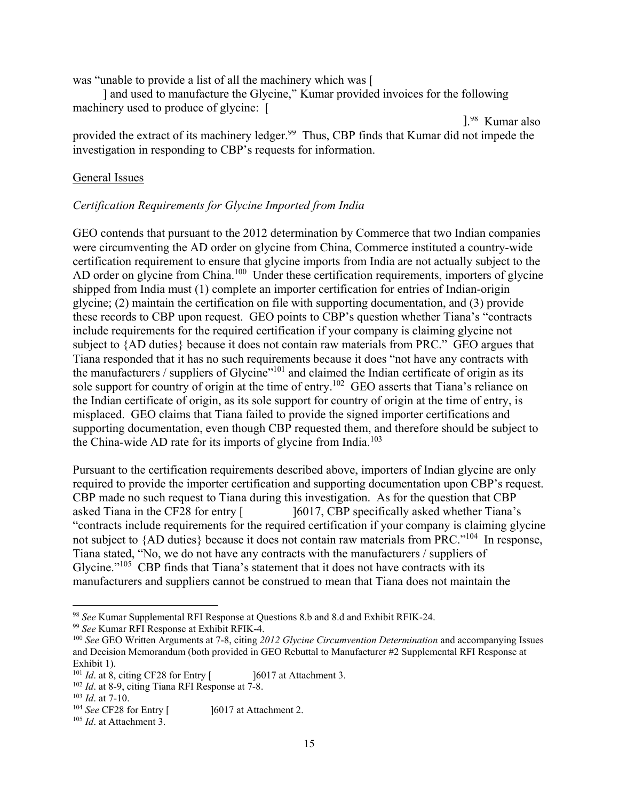was "unable to provide a list of all the machinery which was [

] and used to manufacture the Glycine," Kumar provided invoices for the following machinery used to produce of glycine: [

].<sup>98</sup> Kumar also provided the extract of its machinery ledger.<sup>99</sup> Thus, CBP finds that Kumar did not impede the investigation in responding to CBP's requests for information.

#### **General Issues**

#### *Certification Requirements for Glycine Imported from India*

AD order on glycine from China.<sup>100</sup> Under these certification requirements, importers of glycine GEO contends that pursuant to the 2012 determination by Commerce that two Indian companies were circumventing the AD order on glycine from China, Commerce instituted a country-wide certification requirement to ensure that glycine imports from India are not actually subject to the shipped from India must (1) complete an importer certification for entries of Indian-origin glycine; (2) maintain the certification on file with supporting documentation, and (3) provide these records to CBP upon request. GEO points to CBP's question whether Tiana's "contracts include requirements for the required certification if your company is claiming glycine not subject to {AD duties} because it does not contain raw materials from PRC." GEO argues that Tiana responded that it has no such requirements because it does "not have any contracts with the manufacturers / suppliers of Glycine"101 and claimed the Indian certificate of origin as its sole support for country of origin at the time of entry.<sup>102</sup> GEO asserts that Tiana's reliance on the Indian certificate of origin, as its sole support for country of origin at the time of entry, is misplaced. GEO claims that Tiana failed to provide the signed importer certifications and supporting documentation, even though CBP requested them, and therefore should be subject to the China-wide AD rate for its imports of glycine from India.<sup>103</sup>

Pursuant to the certification requirements described above, importers of Indian glycine are only required to provide the importer certification and supporting documentation upon CBP's request. CBP made no such request to Tiana during this investigation. As for the question that CBP asked Tiana in the CF28 for entry [ ]6017, CBP specifically asked whether Tiana's "contracts include requirements for the required certification if your company is claiming glycine not subject to {AD duties} because it does not contain raw materials from PRC."<sup>104</sup> In response, Tiana stated, "No, we do not have any contracts with the manufacturers / suppliers of Glycine."<sup>105</sup> CBP finds that Tiana's statement that it does not have contracts with its manufacturers and suppliers cannot be construed to mean that Tiana does not maintain the

<sup>&</sup>lt;sup>98</sup> See Kumar Supplemental RFI Response at Questions 8.b and 8.d and Exhibit RFIK-24.<br><sup>99</sup> See Kumar RFI Response at Exhibit RFIK-4.<br><sup>100</sup> See GEO Written Arguments at 7-8, citing 2012 Glycine Circumvention Determination

<sup>&</sup>lt;sup>99</sup> See Kumar RFI Response at Exhibit RFIK-4.

and Decision Memorandum (both provided in GEO Rebuttal to Manufacturer #2 Supplemental RFI Response at Exhibit 1).<br> $^{101}$  *Id.* at 8, citing CF28 for Entry [

<sup>&</sup>lt;sup>101</sup> *Id.* at 8, citing CF28 for Entry  $[$  16017 at Attachment 3.<br><sup>102</sup> *Id.* at 8-9, citing Tiana RFI Response at 7-8.<br><sup>103</sup> *Id.* at 7-10.<br><sup>104</sup> *See* CF28 for Entry  $[$  16017 at Attachment 2.<br><sup>105</sup> *Id.* at Attachment

<sup>&</sup>lt;sup>103</sup> *Id.* at 7-10.<br><sup>104</sup> *See* CF28 for Entry [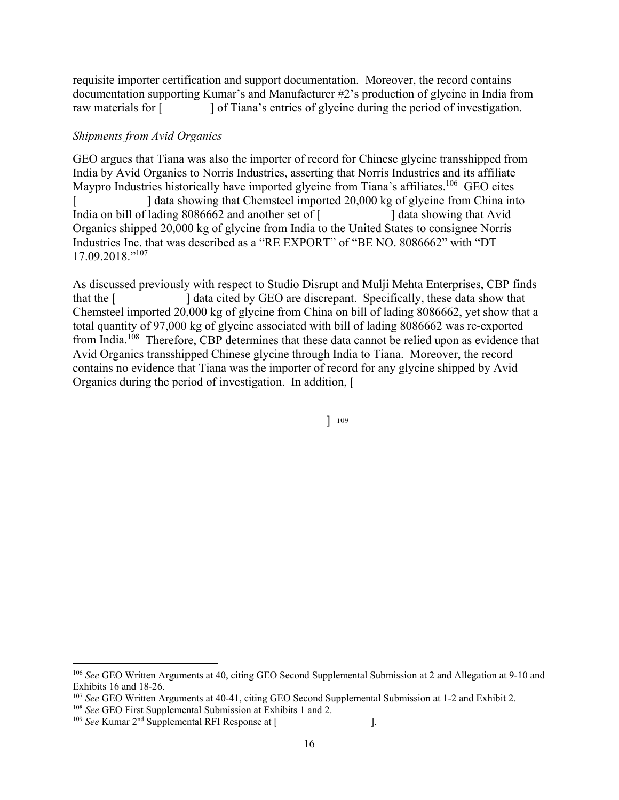requisite importer certification and support documentation. Moreover, the record contains documentation supporting Kumar's and Manufacturer #2's production of glycine in India from raw materials for [ ] of Tiana's entries of glycine during the period of investigation.

## *Shipments from Avid Organics*

 17.09.2018."<sup>107</sup> GEO argues that Tiana was also the importer of record for Chinese glycine transshipped from India by Avid Organics to Norris Industries, asserting that Norris Industries and its affiliate Maypro Industries historically have imported glycine from Tiana's affiliates.<sup>106</sup> GEO cites  $\overline{[}$ India on bill of lading 8086662 and another set of [ ] data showing that Chemsteel imported 20,000 kg of glycine from China into ] data showing that Avid Organics shipped 20,000 kg of glycine from India to the United States to consignee Norris Industries Inc. that was described as a "RE EXPORT" of "BE NO. 8086662" with "DT

As discussed previously with respect to Studio Disrupt and Mulji Mehta Enterprises, CBP finds that the [ ] data cited by GEO are discrepant. Specifically, these data show that Chemsteel imported 20,000 kg of glycine from China on bill of lading 8086662, yet show that a total quantity of 97,000 kg of glycine associated with bill of lading 8086662 was re-exported from India.<sup>108</sup> Therefore, CBP determines that these data cannot be relied upon as evidence that Avid Organics transshipped Chinese glycine through India to Tiana. Moreover, the record contains no evidence that Tiana was the importer of record for any glycine shipped by Avid Organics during the period of investigation. In addition, [

] <sup>109</sup>

Exhibits 16 and 18-26. <sup>106</sup>*See* GEO Written Arguments at 40, citing GEO Second Supplemental Submission at 2 and Allegation at 9-10 and

<sup>&</sup>lt;sup>107</sup> See GEO Written Arguments at 40-41, citing GEO Second Supplemental Submission at 1-2 and Exhibit 2.<br><sup>108</sup> See GEO First Supplemental Submission at Exhibits 1 and 2.<br><sup>109</sup> See Kumar 2<sup>nd</sup> Supplemental RFI Response at